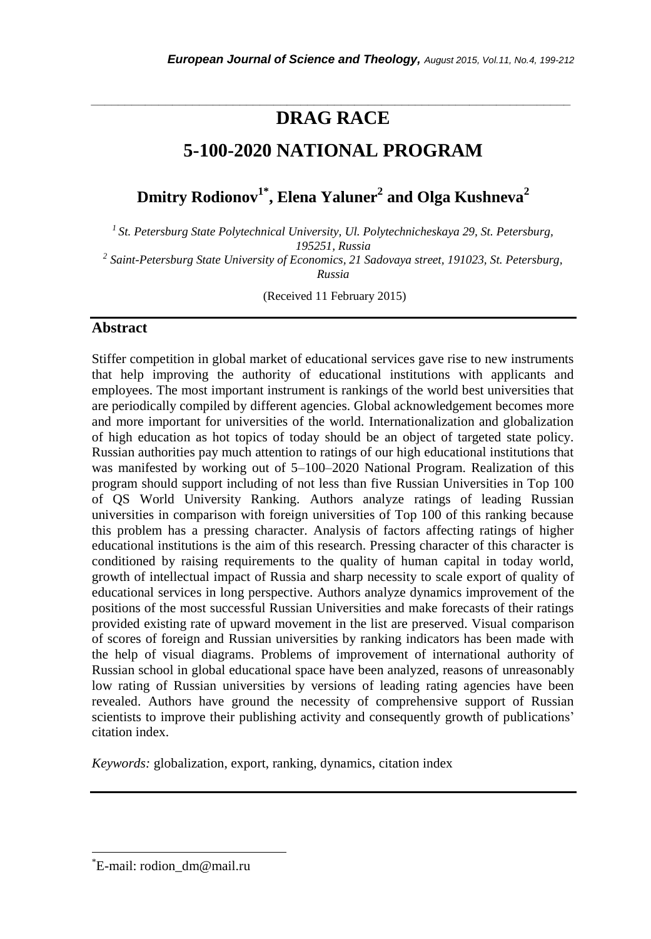# *\_\_\_\_\_\_\_\_\_\_\_\_\_\_\_\_\_\_\_\_\_\_\_\_\_\_\_\_\_\_\_\_\_\_\_\_\_\_\_\_\_\_\_\_\_\_\_\_\_\_\_\_\_\_\_\_\_\_\_\_\_\_\_\_\_\_\_\_\_\_\_* **DRAG RACE**

# **5-100-2020 NATIONAL PROGRAM**

**Dmitry Rodionov1\* , Elena Yaluner<sup>2</sup> and Olga Kushneva<sup>2</sup>**

*<sup>1</sup>St. Petersburg State Polytechnical University, Ul. Polytechnicheskaya 29, St. Petersburg, 195251, Russia*

*2 Saint-Petersburg State University of Economics, 21 Sadovaya street, 191023, St. Petersburg, Russia*

(Received 11 February 2015)

### **Abstract**

Stiffer competition in global market of educational services gave rise to new instruments that help improving the authority of educational institutions with applicants and employees. The most important instrument is rankings of the world best universities that are periodically compiled by different agencies. Global acknowledgement becomes more and more important for universities of the world. Internationalization and globalization of high education as hot topics of today should be an object of targeted state policy. Russian authorities pay much attention to ratings of our high educational institutions that was manifested by working out of 5–100–2020 National Program. Realization of this program should support including of not less than five Russian Universities in Top 100 of QS World University Ranking. Authors analyze ratings of leading Russian universities in comparison with foreign universities of Top 100 of this ranking because this problem has a pressing character. Analysis of factors affecting ratings of higher educational institutions is the aim of this research. Pressing character of this character is conditioned by raising requirements to the quality of human capital in today world, growth of intellectual impact of Russia and sharp necessity to scale export of quality of educational services in long perspective. Authors analyze dynamics improvement of the positions of the most successful Russian Universities and make forecasts of their ratings provided existing rate of upward movement in the list are preserved. Visual comparison of scores of foreign and Russian universities by ranking indicators has been made with the help of visual diagrams. Problems of improvement of international authority of Russian school in global educational space have been analyzed, reasons of unreasonably low rating of Russian universities by versions of leading rating agencies have been revealed. Authors have ground the necessity of comprehensive support of Russian scientists to improve their publishing activity and consequently growth of publications' citation index.

*Keywords:* globalization, export, ranking, dynamics, citation index

l

<sup>\*</sup>E-mail: rodion\_dm@mail.ru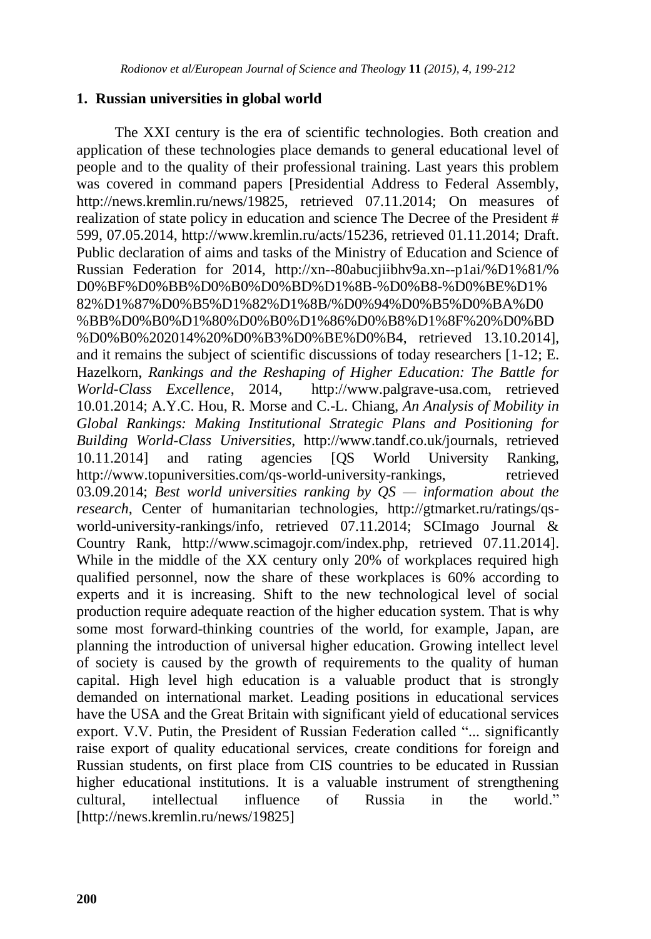### **1. Russian universities in global world**

The XXI century is the era of scientific technologies. Both creation and application of these technologies place demands to general educational level of people and to the quality of their professional training. Last years this problem was covered in command papers [Presidential Address to Federal Assembly, http://news.kremlin.ru/news/19825, retrieved 07.11.2014; On measures of realization of state policy in education and science The Decree of the President # 599, 07.05.2014, http://www.kremlin.ru/acts/15236, retrieved 01.11.2014; Draft. Public declaration of aims and tasks of the Ministry of Education and Science of Russian Federation for 2014, http://xn--80abucjiibhv9a.xn--p1ai/%D1%81/% D0%BF%D0%BB%D0%B0%D0%BD%D1%8B-%D0%B8-%D0%BE%D1% 82%D1%87%D0%B5%D1%82%D1%8B/%D0%94%D0%B5%D0%BA%D0 %BB%D0%B0%D1%80%D0%B0%D1%86%D0%B8%D1%8F%20%D0%BD %D0%B0%202014%20%D0%B3%D0%BE%D0%B4, retrieved 13.10.2014], and it remains the subject of scientific discussions of today researchers [1-12; E. Hazelkorn, *Rankings and the Reshaping of Higher Education: The Battle for World-Class Excellence*, 2014, http://www.palgrave-usa.com, retrieved 10.01.2014; A.Y.C. Hou, R. Morse and C.-L. Chiang, *An Analysis of Mobility in Global Rankings: Making Institutional Strategic Plans and Positioning for Building World-Class Universities*, http://www.tandf.co.uk/journals, retrieved 10.11.2014] and rating agencies [QS World University Ranking, http://www.topuniversities.com/qs-world-university-rankings, retrieved 03.09.2014; *Best world universities ranking by QS — information about the research*, Center of humanitarian technologies, http://gtmarket.ru/ratings/qsworld-university-rankings/info, retrieved 07.11.2014; SCImago Journal & Country Rank, http://www.scimagojr.com/index.php, retrieved 07.11.2014]. While in the middle of the XX century only 20% of workplaces required high qualified personnel, now the share of these workplaces is 60% according to experts and it is increasing. Shift to the new technological level of social production require adequate reaction of the higher education system. That is why some most forward-thinking countries of the world, for example, Japan, are planning the introduction of universal higher education. Growing intellect level of society is caused by the growth of requirements to the quality of human capital. High level high education is a valuable product that is strongly demanded on international market. Leading positions in educational services have the USA and the Great Britain with significant yield of educational services export. V.V. Putin, the President of Russian Federation called "... significantly raise export of quality educational services, create conditions for foreign and Russian students, on first place from CIS countries to be educated in Russian higher educational institutions. It is a valuable instrument of strengthening cultural, intellectual influence of Russia in the world." [http://news.kremlin.ru/news/19825]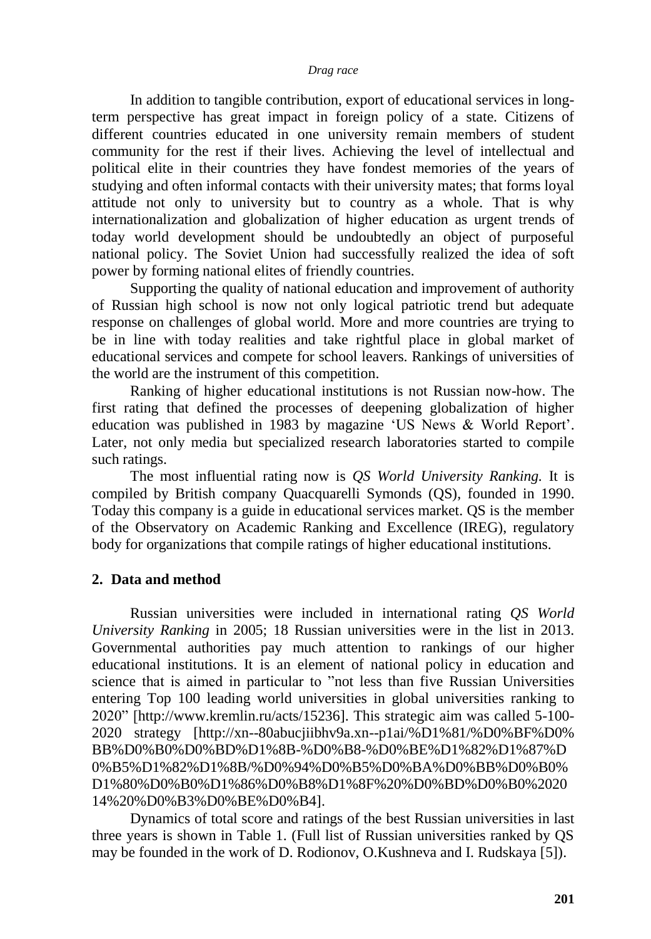In addition to tangible contribution, export of educational services in longterm perspective has great impact in foreign policy of a state. Citizens of different countries educated in one university remain members of student community for the rest if their lives. Achieving the level of intellectual and political elite in their countries they have fondest memories of the years of studying and often informal contacts with their university mates; that forms loyal attitude not only to university but to country as a whole. That is why internationalization and globalization of higher education as urgent trends of today world development should be undoubtedly an object of purposeful national policy. The Soviet Union had successfully realized the idea of soft power by forming national elites of friendly countries.

Supporting the quality of national education and improvement of authority of Russian high school is now not only logical patriotic trend but adequate response on challenges of global world. More and more countries are trying to be in line with today realities and take rightful place in global market of educational services and compete for school leavers. Rankings of universities of the world are the instrument of this competition.

Ranking of higher educational institutions is not Russian now-how. The first rating that defined the processes of deepening globalization of higher education was published in 1983 by magazine 'US News & World Report'. Later, not only media but specialized research laboratories started to compile such ratings.

The most influential rating now is *QS World University Ranking.* It is compiled by British company Quacquarelli Symonds (QS), founded in 1990. Today this company is a guide in educational services market. QS is the member of the Observatory on Academic Ranking and Excellence (IREG), regulatory body for organizations that compile ratings of higher educational institutions.

### **2. Data and method**

Russian universities were included in international rating *QS World University Ranking* in 2005; 18 Russian universities were in the list in 2013. Governmental authorities pay much attention to rankings of our higher educational institutions. It is an element of national policy in education and science that is aimed in particular to "not less than five Russian Universities entering Top 100 leading world universities in global universities ranking to 2020‖ [http://www.kremlin.ru/acts/15236]. This strategic aim was called 5-100- 2020 strategy [http://xn--80abucjiibhv9a.xn--p1ai/%D1%81/%D0%BF%D0% BB%D0%B0%D0%BD%D1%8B-%D0%B8-%D0%BE%D1%82%D1%87%D 0%B5%D1%82%D1%8B/%D0%94%D0%B5%D0%BA%D0%BB%D0%B0% D1%80%D0%B0%D1%86%D0%B8%D1%8F%20%D0%BD%D0%B0%2020 14%20%D0%B3%D0%BE%D0%B4].

Dynamics of total score and ratings of the best Russian universities in last three years is shown in Table 1. (Full list of Russian universities ranked by QS may be founded in the work of D. Rodionov, O.Kushneva and I. Rudskaya [5]).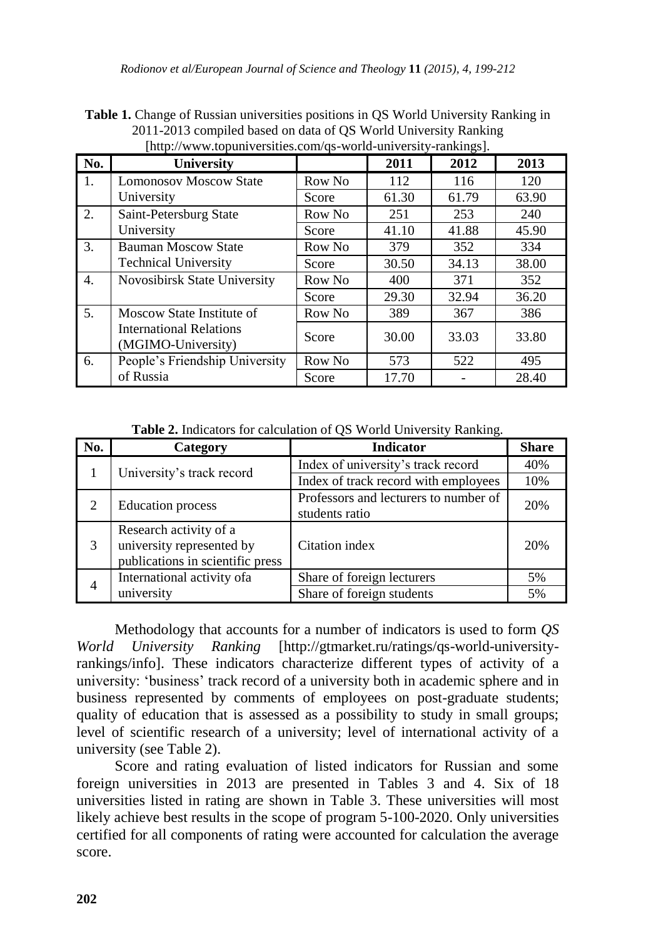| [http://www.topuniversities.com/qs-world-university-rankings]. |                                                      |        |       |       |       |  |  |  |
|----------------------------------------------------------------|------------------------------------------------------|--------|-------|-------|-------|--|--|--|
| No.                                                            | <b>University</b>                                    |        | 2011  | 2012  | 2013  |  |  |  |
| 1.                                                             | <b>Lomonosov Moscow State</b>                        | Row No | 112   | 116   | 120   |  |  |  |
|                                                                | University                                           | Score  | 61.30 | 61.79 | 63.90 |  |  |  |
| 2.                                                             | Saint-Petersburg State                               | Row No | 251   | 253   | 240   |  |  |  |
|                                                                | University                                           | Score  | 41.10 | 41.88 | 45.90 |  |  |  |
| 3.                                                             | <b>Bauman Moscow State</b>                           | Row No | 379   | 352   | 334   |  |  |  |
|                                                                | <b>Technical University</b>                          | Score  | 30.50 | 34.13 | 38.00 |  |  |  |
| 4.                                                             | Novosibirsk State University                         | Row No | 400   | 371   | 352   |  |  |  |
|                                                                |                                                      | Score  | 29.30 | 32.94 | 36.20 |  |  |  |
| 5 <sub>1</sub>                                                 | Moscow State Institute of                            | Row No | 389   | 367   | 386   |  |  |  |
|                                                                | <b>International Relations</b><br>(MGIMO-University) | Score  | 30.00 | 33.03 | 33.80 |  |  |  |
| 6.                                                             | People's Friendship University                       | Row No | 573   | 522   | 495   |  |  |  |
|                                                                | of Russia                                            | Score  | 17.70 |       | 28.40 |  |  |  |

**Table 1.** Change of Russian universities positions in QS World University Ranking in 2011-2013 compiled based on data of QS World University Ranking

**Table 2.** Indicators for calculation of QS World University Ranking.

| No. | Category                         | <b>Indicator</b>                      | <b>Share</b> |
|-----|----------------------------------|---------------------------------------|--------------|
|     |                                  | Index of university's track record    | 40%          |
|     | University's track record        | Index of track record with employees  | 10%          |
| 2   | <b>Education</b> process         | Professors and lecturers to number of | 20%          |
|     |                                  | students ratio                        |              |
|     | Research activity of a           |                                       |              |
| 3   | university represented by        | Citation index                        | 20%          |
|     | publications in scientific press |                                       |              |
| 4   | International activity of a      | Share of foreign lecturers            | 5%           |
|     | university                       | Share of foreign students             | 5%           |

Methodology that accounts for a number of indicators is used to form *QS World University Ranking* [http://gtmarket.ru/ratings/qs-world-universityrankings/info]. These indicators characterize different types of activity of a university: ‗business' track record of a university both in academic sphere and in business represented by comments of employees on post-graduate students; quality of education that is assessed as a possibility to study in small groups; level of scientific research of a university; level of international activity of a university (see Table 2).

Score and rating evaluation of listed indicators for Russian and some foreign universities in 2013 are presented in Tables 3 and 4. Six of 18 universities listed in rating are shown in Table 3. These universities will most likely achieve best results in the scope of program 5-100-2020. Only universities certified for all components of rating were accounted for calculation the average score.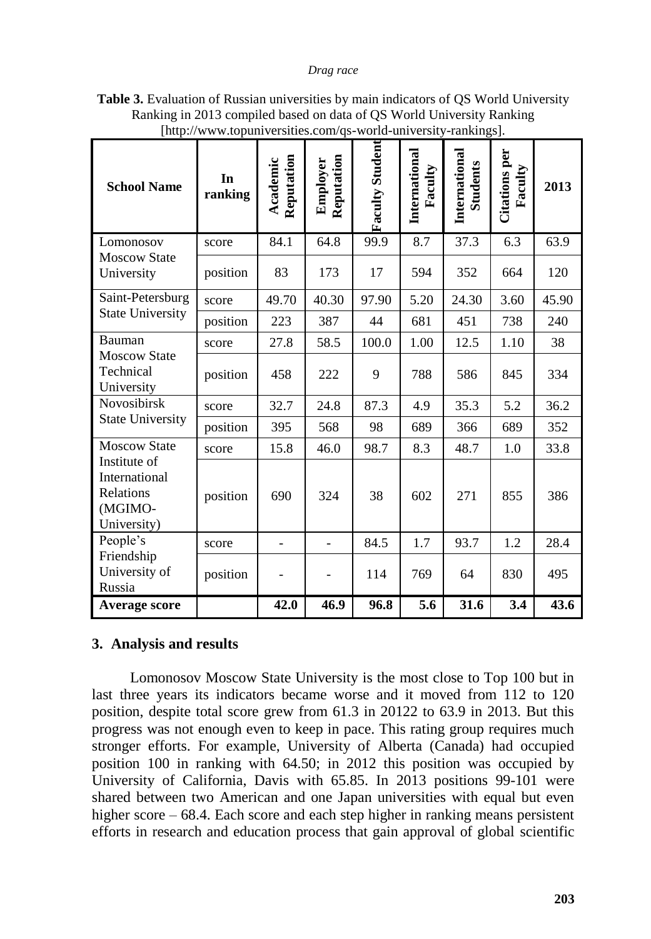| <b>School Name</b>                                                   | In<br>ranking     | Reputation<br>Academic<br>84.1 | Reputation<br>Employer<br>64.8 | <b>Faculty Student</b><br>99.9 | International<br>Faculty<br>8.7 | International<br><b>Students</b><br>37.3 | Citations per<br>Faculty<br>6.3 | 2013<br>63.9 |
|----------------------------------------------------------------------|-------------------|--------------------------------|--------------------------------|--------------------------------|---------------------------------|------------------------------------------|---------------------------------|--------------|
| Lomonosov<br><b>Moscow State</b><br>University                       | score<br>position | 83                             | 173                            | 17                             | 594                             | 352                                      | 664                             | 120          |
| Saint-Petersburg                                                     | score             | 49.70                          | 40.30                          | 97.90                          | 5.20                            | 24.30                                    | 3.60                            | 45.90        |
| <b>State University</b>                                              | position          | 223                            | 387                            | 44                             | 681                             | 451                                      | 738                             | 240          |
| Bauman                                                               | score             | 27.8                           | 58.5                           | 100.0                          | 1.00                            | 12.5                                     | 1.10                            | 38           |
| <b>Moscow State</b><br>Technical<br>University                       | position          | 458                            | 222                            | 9                              | 788                             | 586                                      | 845                             | 334          |
| Novosibirsk                                                          | score             | 32.7                           | 24.8                           | 87.3                           | 4.9                             | 35.3                                     | 5.2                             | 36.2         |
| <b>State University</b>                                              | position          | 395                            | 568                            | 98                             | 689                             | 366                                      | 689                             | 352          |
| <b>Moscow State</b>                                                  | score             | 15.8                           | 46.0                           | 98.7                           | 8.3                             | 48.7                                     | 1.0                             | 33.8         |
| Institute of<br>International<br>Relations<br>(MGIMO-<br>University) | position          | 690                            | 324                            | 38                             | 602                             | 271                                      | 855                             | 386          |
| People's                                                             | score             | $\overline{\phantom{0}}$       | $\overline{\phantom{0}}$       | 84.5                           | 1.7                             | 93.7                                     | 1.2                             | 28.4         |
| Friendship<br>University of<br>Russia                                | position          |                                |                                | 114                            | 769                             | 64                                       | 830                             | 495          |
| <b>Average score</b>                                                 |                   | 42.0                           | 46.9                           | 96.8                           | 5.6                             | 31.6                                     | 3.4                             | 43.6         |

**Table 3.** Evaluation of Russian universities by main indicators of QS World University Ranking in 2013 compiled based on data of QS World University Ranking [http://www.topuniversities.com/qs-world-university-rankings].

# **3. Analysis and results**

Lomonosov Moscow State University is the most close to Top 100 but in last three years its indicators became worse and it moved from 112 to 120 position, despite total score grew from 61.3 in 20122 to 63.9 in 2013. But this progress was not enough even to keep in pace. This rating group requires much stronger efforts. For example, University of Alberta (Canada) had occupied position 100 in ranking with 64.50; in 2012 this position was occupied by University of California, Davis with 65.85. In 2013 positions 99-101 were shared between two American and one Japan universities with equal but even higher score – 68.4. Each score and each step higher in ranking means persistent efforts in research and education process that gain approval of global scientific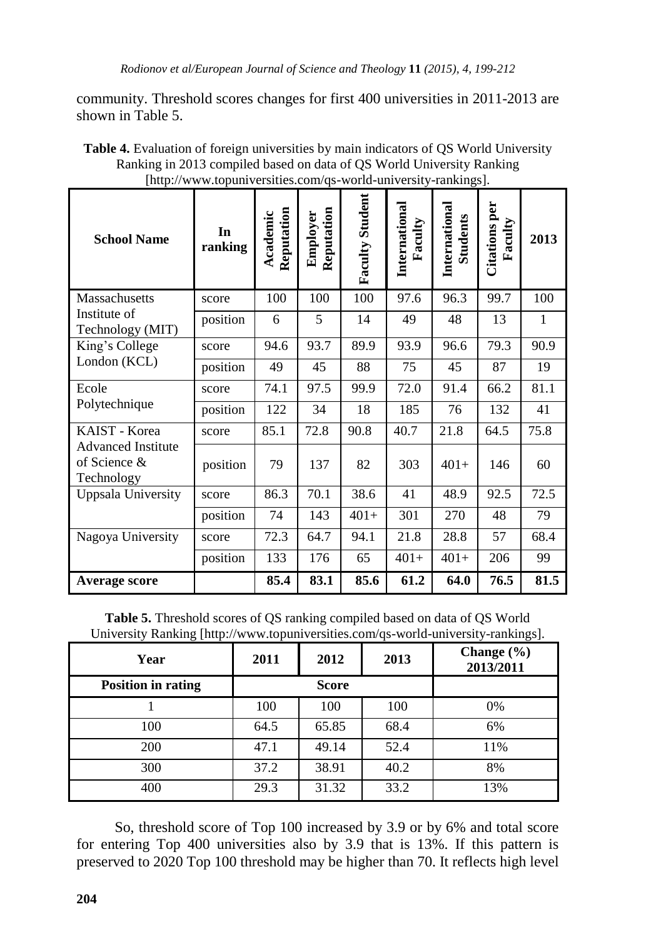community. Threshold scores changes for first 400 universities in 2011-2013 are shown in Table 5.

| <b>Table 4.</b> Evaluation of foreign universities by main indicators of OS World University |
|----------------------------------------------------------------------------------------------|
| Ranking in 2013 compiled based on data of QS World University Ranking                        |
| [http://www.topuniversities.com/qs-world-university-rankings].                               |
|                                                                                              |

| <b>School Name</b>                                         | In<br>ranking | Reputation<br>Academic | Reputation<br>Employer | <b>Faculty Student</b> | International<br>Faculty | International<br><b>Students</b> | <b>Citations</b> per<br>Faculty | 2013 |
|------------------------------------------------------------|---------------|------------------------|------------------------|------------------------|--------------------------|----------------------------------|---------------------------------|------|
| Massachusetts                                              | score         | 100                    | 100                    | 100                    | 97.6                     | 96.3                             | 99.7                            | 100  |
| Institute of<br>Technology (MIT)                           | position      | 6                      | 5                      | 14                     | 49                       | 48                               | 13                              | 1    |
| King's College                                             | score         | 94.6                   | 93.7                   | 89.9                   | 93.9                     | 96.6                             | 79.3                            | 90.9 |
| London (KCL)                                               | position      | 49                     | 45                     | 88                     | 75                       | 45                               | 87                              | 19   |
| Ecole                                                      | score         | 74.1                   | 97.5                   | 99.9                   | 72.0                     | 91.4                             | 66.2                            | 81.1 |
| Polytechnique                                              | position      | 122                    | 34                     | 18                     | 185                      | 76                               | 132                             | 41   |
| KAIST - Korea                                              | score         | 85.1                   | 72.8                   | 90.8                   | 40.7                     | 21.8                             | 64.5                            | 75.8 |
| <b>Advanced Institute</b><br>of Science $\&$<br>Technology | position      | 79                     | 137                    | 82                     | 303                      | $401+$                           | 146                             | 60   |
| Uppsala University                                         | score         | 86.3                   | 70.1                   | 38.6                   | 41                       | 48.9                             | 92.5                            | 72.5 |
|                                                            | position      | 74                     | 143                    | $401+$                 | 301                      | 270                              | 48                              | 79   |
| Nagoya University                                          | score         | 72.3                   | 64.7                   | 94.1                   | 21.8                     | 28.8                             | 57                              | 68.4 |
|                                                            | position      | 133                    | 176                    | 65                     | $401+$                   | $401+$                           | 206                             | 99   |
| Average score                                              |               | 85.4                   | 83.1                   | 85.6                   | 61.2                     | 64.0                             | 76.5                            | 81.5 |

**Table 5.** Threshold scores of QS ranking compiled based on data of QS World University Ranking [http://www.topuniversities.com/qs-world-university-rankings].

| Year                      | 2011 | 2012         | 2013 | Change $(\% )$<br>2013/2011 |
|---------------------------|------|--------------|------|-----------------------------|
| <b>Position in rating</b> |      | <b>Score</b> |      |                             |
|                           | 100  | 100          | 100  | 0%                          |
| 100                       | 64.5 | 65.85        | 68.4 | 6%                          |
| <b>200</b>                | 47.1 | 49.14        | 52.4 | 11%                         |
| 300                       | 37.2 | 38.91        | 40.2 | 8%                          |
| 400                       | 29.3 | 31.32        | 33.2 | 13%                         |

So, threshold score of Top 100 increased by 3.9 or by 6% and total score for entering Top 400 universities also by 3.9 that is 13%. If this pattern is preserved to 2020 Top 100 threshold may be higher than 70. It reflects high level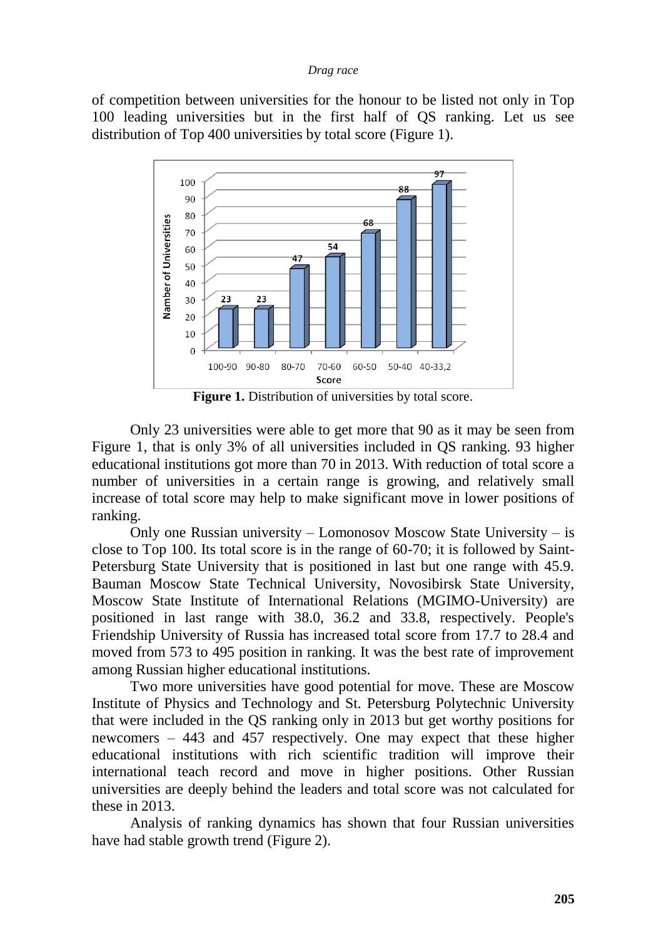of competition between universities for the honour to be listed not only in Top 100 leading universities but in the first half of QS ranking. Let us see distribution of Top 400 universities by total score (Figure 1).



**Figure 1.** Distribution of universities by total score.

Only 23 universities were able to get more that 90 as it may be seen from Figure 1, that is only 3% of all universities included in QS ranking. 93 higher educational institutions got more than 70 in 2013. With reduction of total score a number of universities in a certain range is growing, and relatively small increase of total score may help to make significant move in lower positions of ranking.

Only one Russian university – Lomonosov Moscow State University – is close to Top 100. Its total score is in the range of 60-70; it is followed by Saint-Petersburg State University that is positioned in last but one range with 45.9. Bauman Moscow State Technical University, Novosibirsk State University, Moscow State Institute of International Relations (MGIMO-University) are positioned in last range with 38.0, 36.2 and 33.8, respectively. People's Friendship University of Russia has increased total score from 17.7 to 28.4 and moved from 573 to 495 position in ranking. It was the best rate of improvement among Russian higher educational institutions.

Two more universities have good potential for move. These are Moscow Institute of Physics and Technology and St. Petersburg Polytechnic University that were included in the QS ranking only in 2013 but get worthy positions for newcomers – 443 and 457 respectively. One may expect that these higher educational institutions with rich scientific tradition will improve their international teach record and move in higher positions. Other Russian universities are deeply behind the leaders and total score was not calculated for these in 2013.

Analysis of ranking dynamics has shown that four Russian universities have had stable growth trend (Figure 2).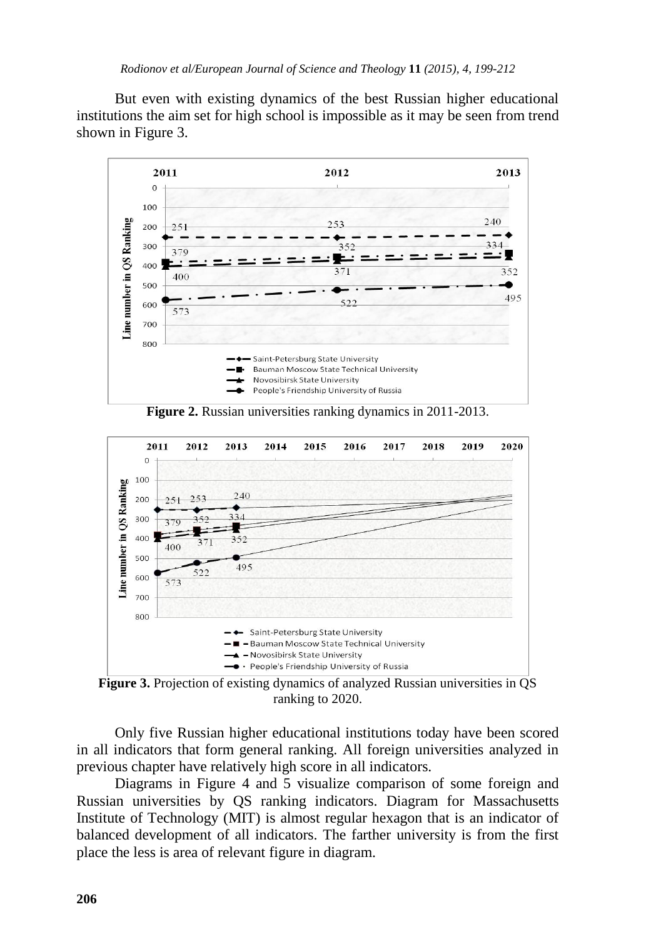But even with existing dynamics of the best Russian higher educational institutions the aim set for high school is impossible as it may be seen from trend shown in Figure 3.



**Figure 2.** Russian universities ranking dynamics in 2011-2013.



**Figure 3.** Projection of existing dynamics of analyzed Russian universities in QS ranking to 2020.

Only five Russian higher educational institutions today have been scored in all indicators that form general ranking. All foreign universities analyzed in previous chapter have relatively high score in all indicators.

Diagrams in Figure 4 and 5 visualize comparison of some foreign and Russian universities by QS ranking indicators. Diagram for Massachusetts Institute of Technology (MIT) is almost regular hexagon that is an indicator of balanced development of all indicators. The farther university is from the first place the less is area of relevant figure in diagram.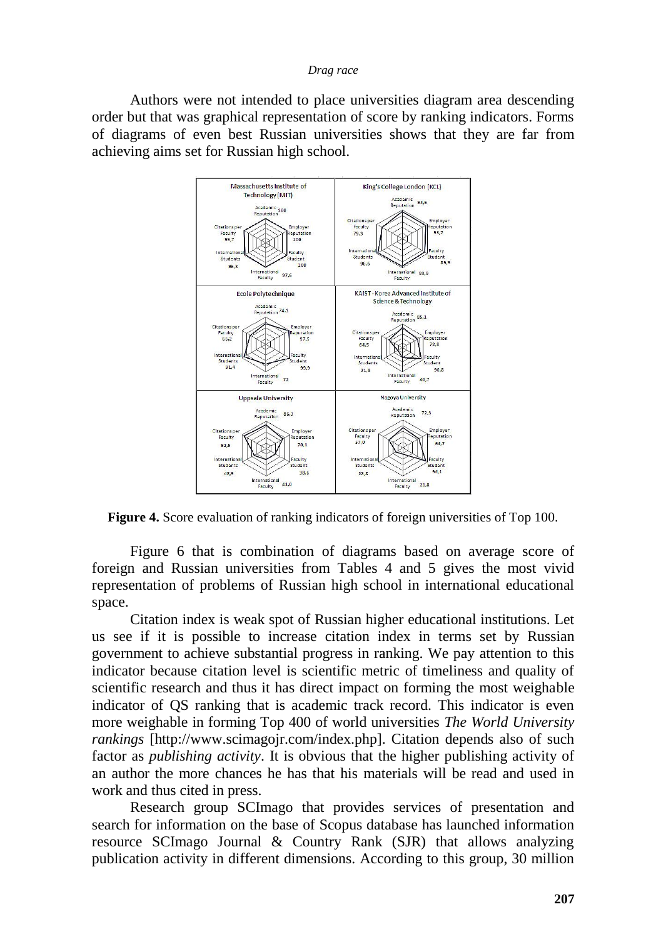Authors were not intended to place universities diagram area descending order but that was graphical representation of score by ranking indicators. Forms of diagrams of even best Russian universities shows that they are far from achieving aims set for Russian high school.



**Figure 4.** Score evaluation of ranking indicators of foreign universities of Top 100.

Figure 6 that is combination of diagrams based on average score of foreign and Russian universities from Tables 4 and 5 gives the most vivid representation of problems of Russian high school in international educational space.

Citation index is weak spot of Russian higher educational institutions. Let us see if it is possible to increase citation index in terms set by Russian government to achieve substantial progress in ranking. We pay attention to this indicator because citation level is scientific metric of timeliness and quality of scientific research and thus it has direct impact on forming the most weighable indicator of QS ranking that is academic track record. This indicator is even more weighable in forming Top 400 of world universities *The World University rankings* [http://www.scimagojr.com/index.php]. Citation depends also of such factor as *publishing activity*. It is obvious that the higher publishing activity of an author the more chances he has that his materials will be read and used in work and thus cited in press.

Research group SCImago that provides services of presentation and search for information on the base of Scopus database has launched information resource SCImago Journal & Country Rank (SJR) that allows analyzing publication activity in different dimensions. According to this group, 30 million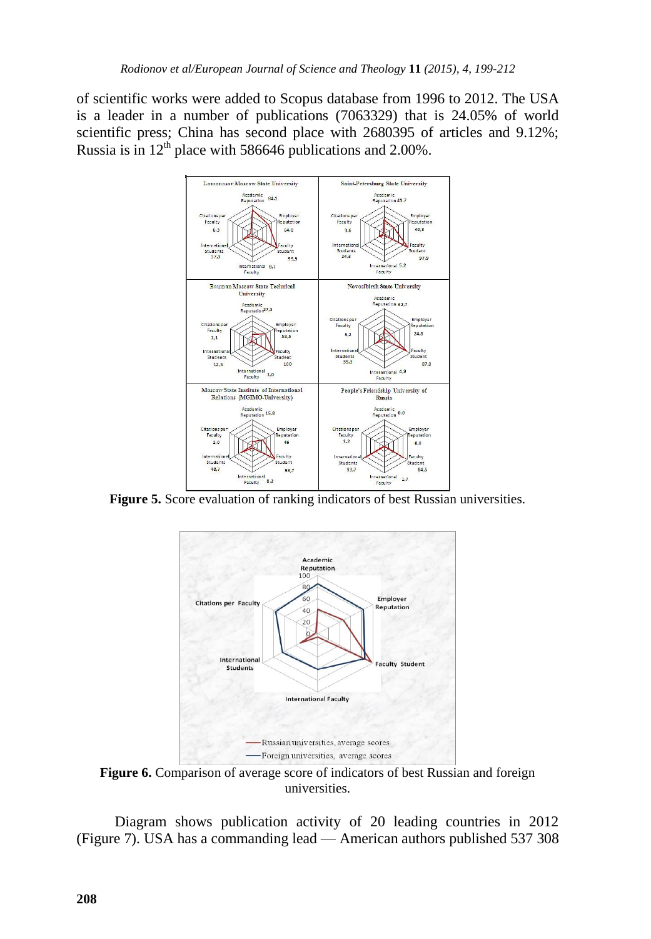of scientific works were added to Scopus database from 1996 to 2012. The USA is a leader in a number of publications (7063329) that is 24.05% of world scientific press; China has second place with 2680395 of articles and 9.12%; Russia is in  $12<sup>th</sup>$  place with 586646 publications and 2.00%.



**Figure 5.** Score evaluation of ranking indicators of best Russian universities.



**Figure 6.** Comparison of average score of indicators of best Russian and foreign universities.

Diagram shows publication activity of 20 leading countries in 2012 (Figure 7). USA has a commanding lead — American authors published 537 308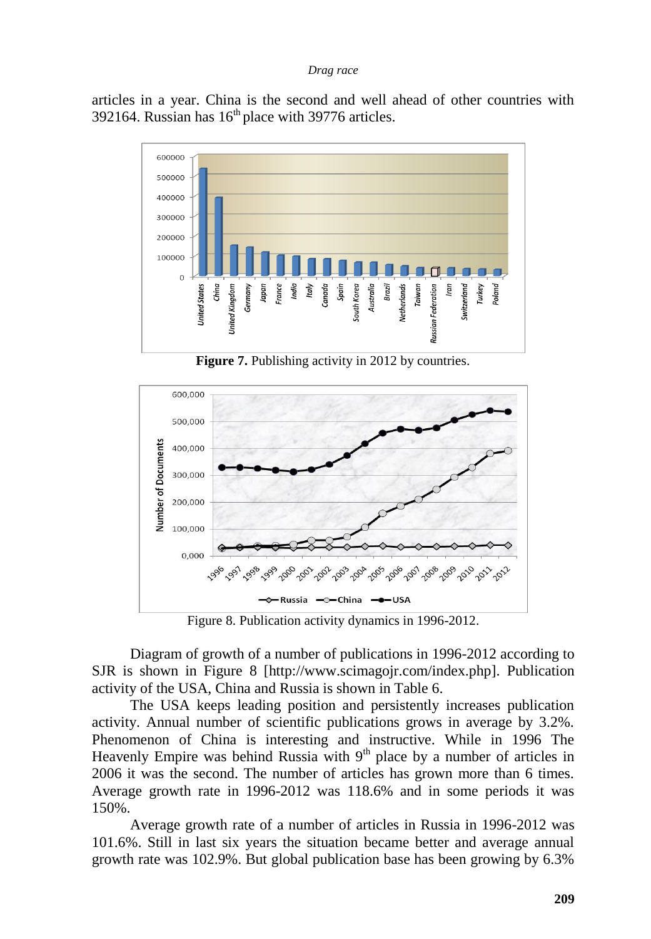articles in a year. China is the second and well ahead of other countries with 392164. Russian has  $16<sup>th</sup>$  place with 39776 articles.



**Figure 7.** Publishing activity in 2012 by countries.



Figure 8. Publication activity dynamics in 1996-2012.

Diagram of growth of a number of publications in 1996-2012 according to SJR is shown in Figure 8 [http://www.scimagojr.com/index.php]. Publication activity of the USA, China and Russia is shown in Table 6.

The USA keeps leading position and persistently increases publication activity. Annual number of scientific publications grows in average by 3.2%. Phenomenon of China is interesting and instructive. While in 1996 The Heavenly Empire was behind Russia with  $9<sup>th</sup>$  place by a number of articles in 2006 it was the second. The number of articles has grown more than 6 times. Average growth rate in 1996-2012 was 118.6% and in some periods it was 150%.

Average growth rate of a number of articles in Russia in 1996-2012 was 101.6%. Still in last six years the situation became better and average annual growth rate was 102.9%. But global publication base has been growing by 6.3%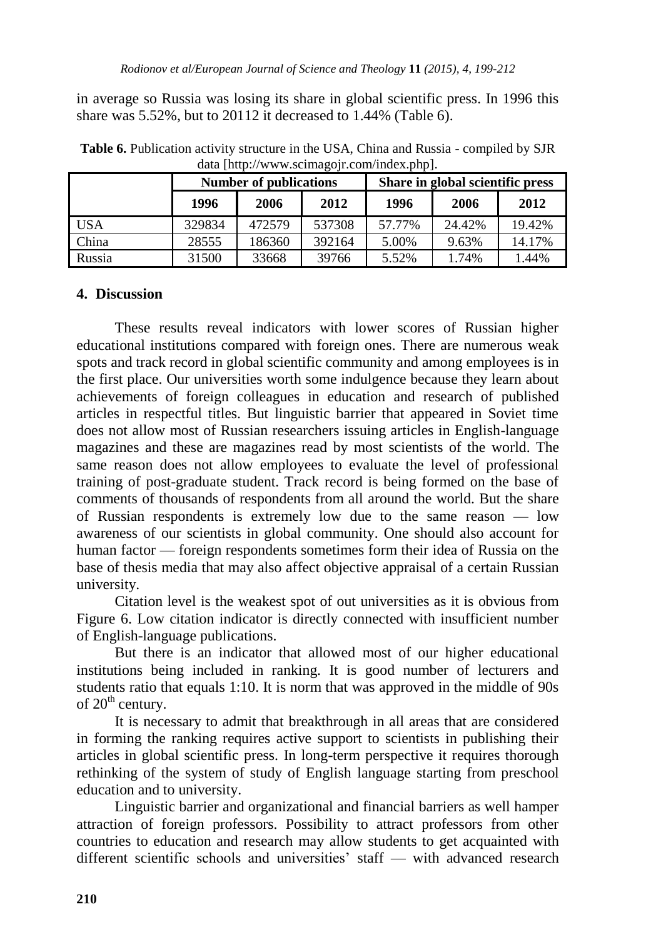in average so Russia was losing its share in global scientific press. In 1996 this share was 5.52%, but to 20112 it decreased to 1.44% (Table 6).

|        |        | <b>Number of publications</b> |        | Share in global scientific press |        |        |  |  |  |
|--------|--------|-------------------------------|--------|----------------------------------|--------|--------|--|--|--|
|        | 1996   | 2006                          | 2012   | 1996                             | 2006   | 2012   |  |  |  |
| USA    | 329834 | 472579                        | 537308 | 57.77%                           | 24.42% | 19.42% |  |  |  |
| China  | 28555  | 186360                        | 392164 | 5.00%                            | 9.63%  | 14.17% |  |  |  |
| Russia | 31500  | 33668                         | 39766  | 5.52%                            | 1.74%  | 1.44%  |  |  |  |

**Table 6.** Publication activity structure in the USA, China and Russia - compiled by SJR data [http://www.scimagojr.com/index.php].

# **4. Discussion**

These results reveal indicators with lower scores of Russian higher educational institutions compared with foreign ones. There are numerous weak spots and track record in global scientific community and among employees is in the first place. Our universities worth some indulgence because they learn about achievements of foreign colleagues in education and research of published articles in respectful titles. But linguistic barrier that appeared in Soviet time does not allow most of Russian researchers issuing articles in English-language magazines and these are magazines read by most scientists of the world. The same reason does not allow employees to evaluate the level of professional training of post-graduate student. Track record is being formed on the base of comments of thousands of respondents from all around the world. But the share of Russian respondents is extremely low due to the same reason — low awareness of our scientists in global community. One should also account for human factor — foreign respondents sometimes form their idea of Russia on the base of thesis media that may also affect objective appraisal of a certain Russian university.

Citation level is the weakest spot of out universities as it is obvious from Figure 6. Low citation indicator is directly connected with insufficient number of English-language publications.

But there is an indicator that allowed most of our higher educational institutions being included in ranking. It is good number of lecturers and students ratio that equals 1:10. It is norm that was approved in the middle of 90s of  $20<sup>th</sup>$  century.

It is necessary to admit that breakthrough in all areas that are considered in forming the ranking requires active support to scientists in publishing their articles in global scientific press. In long-term perspective it requires thorough rethinking of the system of study of English language starting from preschool education and to university.

Linguistic barrier and organizational and financial barriers as well hamper attraction of foreign professors. Possibility to attract professors from other countries to education and research may allow students to get acquainted with different scientific schools and universities' staff — with advanced research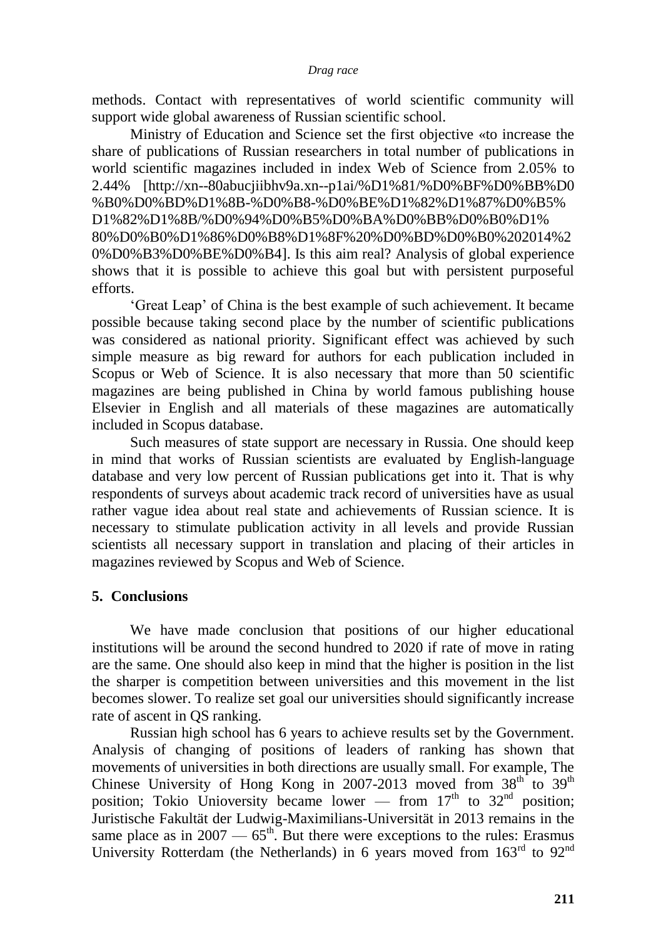methods. Contact with representatives of world scientific community will support wide global awareness of Russian scientific school.

Ministry of Education and Science set the first objective «to increase the share of publications of Russian researchers in total number of publications in world scientific magazines included in index Web of Science from 2.05% to 2.44% [http://xn--80abucjiibhv9a.xn--p1ai/%D1%81/%D0%BF%D0%BB%D0 %B0%D0%BD%D1%8B-%D0%B8-%D0%BE%D1%82%D1%87%D0%B5% D1%82%D1%8B/%D0%94%D0%B5%D0%BA%D0%BB%D0%B0%D1% 80%D0%B0%D1%86%D0%B8%D1%8F%20%D0%BD%D0%B0%202014%2 0%D0%B3%D0%BE%D0%B4]. Is this aim real? Analysis of global experience shows that it is possible to achieve this goal but with persistent purposeful efforts.

‗Great Leap' of China is the best example of such achievement. It became possible because taking second place by the number of scientific publications was considered as national priority. Significant effect was achieved by such simple measure as big reward for authors for each publication included in Scopus or Web of Science. It is also necessary that more than 50 scientific magazines are being published in China by world famous publishing house Elsevier in English and all materials of these magazines are automatically included in Scopus database.

Such measures of state support are necessary in Russia. One should keep in mind that works of Russian scientists are evaluated by English-language database and very low percent of Russian publications get into it. That is why respondents of surveys about academic track record of universities have as usual rather vague idea about real state and achievements of Russian science. It is necessary to stimulate publication activity in all levels and provide Russian scientists all necessary support in translation and placing of their articles in magazines reviewed by Scopus and Web of Science.

# **5. Conclusions**

We have made conclusion that positions of our higher educational institutions will be around the second hundred to 2020 if rate of move in rating are the same. One should also keep in mind that the higher is position in the list the sharper is competition between universities and this movement in the list becomes slower. To realize set goal our universities should significantly increase rate of ascent in QS ranking.

Russian high school has 6 years to achieve results set by the Government. Analysis of changing of positions of leaders of ranking has shown that movements of universities in both directions are usually small. For example, The Chinese University of Hong Kong in 2007-2013 moved from  $38<sup>th</sup>$  to  $39<sup>th</sup>$ position; Tokio Unioversity became lower — from  $17<sup>th</sup>$  to  $32<sup>nd</sup>$  position; Juristische Fakultät der Ludwig-Maximilians-Universität in 2013 remains in the same place as in  $2007 - 65$ <sup>th</sup>. But there were exceptions to the rules: Erasmus University Rotterdam (the Netherlands) in 6 years moved from  $163<sup>rd</sup>$  to  $92<sup>nd</sup>$